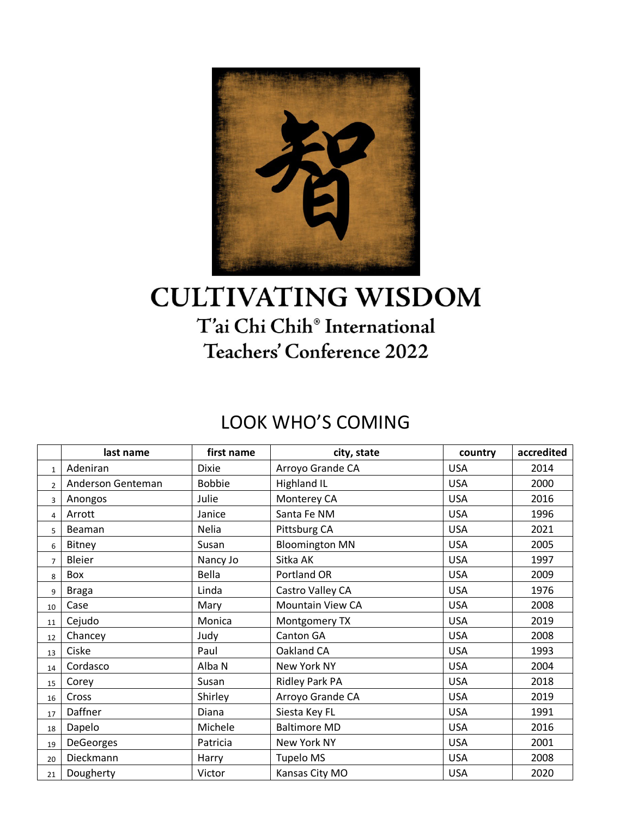

## **CULTIVATING WISDOM** T'ai Chi Chih® International Teachers' Conference 2022

## LOOK WHO'S COMING

|                | last name         | first name    | city, state             | country    | accredited |
|----------------|-------------------|---------------|-------------------------|------------|------------|
| $\mathbf{1}$   | Adeniran          | <b>Dixie</b>  | Arroyo Grande CA        | <b>USA</b> | 2014       |
| $\overline{2}$ | Anderson Genteman | <b>Bobbie</b> | <b>Highland IL</b>      | <b>USA</b> | 2000       |
| 3              | Anongos           | Julie         | Monterey CA             | <b>USA</b> | 2016       |
| 4              | Arrott            | Janice        | Santa Fe NM             | <b>USA</b> | 1996       |
| 5              | Beaman            | Nelia         | Pittsburg CA            | <b>USA</b> | 2021       |
| 6              | Bitney            | Susan         | <b>Bloomington MN</b>   | <b>USA</b> | 2005       |
| $\overline{7}$ | Bleier            | Nancy Jo      | Sitka AK                | <b>USA</b> | 1997       |
| 8              | Box               | Bella         | Portland OR             | <b>USA</b> | 2009       |
| 9              | <b>Braga</b>      | Linda         | Castro Valley CA        | <b>USA</b> | 1976       |
| 10             | Case              | Mary          | <b>Mountain View CA</b> | <b>USA</b> | 2008       |
| 11             | Cejudo            | Monica        | Montgomery TX           | <b>USA</b> | 2019       |
| 12             | Chancey           | Judy          | Canton GA               | <b>USA</b> | 2008       |
| 13             | Ciske             | Paul          | Oakland CA              | <b>USA</b> | 1993       |
| 14             | Cordasco          | Alba N        | New York NY             | <b>USA</b> | 2004       |
| 15             | Corey             | Susan         | Ridley Park PA          | <b>USA</b> | 2018       |
| 16             | Cross             | Shirley       | Arroyo Grande CA        | <b>USA</b> | 2019       |
| 17             | Daffner           | Diana         | Siesta Key FL           | <b>USA</b> | 1991       |
| 18             | Dapelo            | Michele       | <b>Baltimore MD</b>     | <b>USA</b> | 2016       |
| 19             | DeGeorges         | Patricia      | New York NY             | <b>USA</b> | 2001       |
| 20             | Dieckmann         | Harry         | Tupelo MS               | <b>USA</b> | 2008       |
| 21             | Dougherty         | Victor        | Kansas City MO          | <b>USA</b> | 2020       |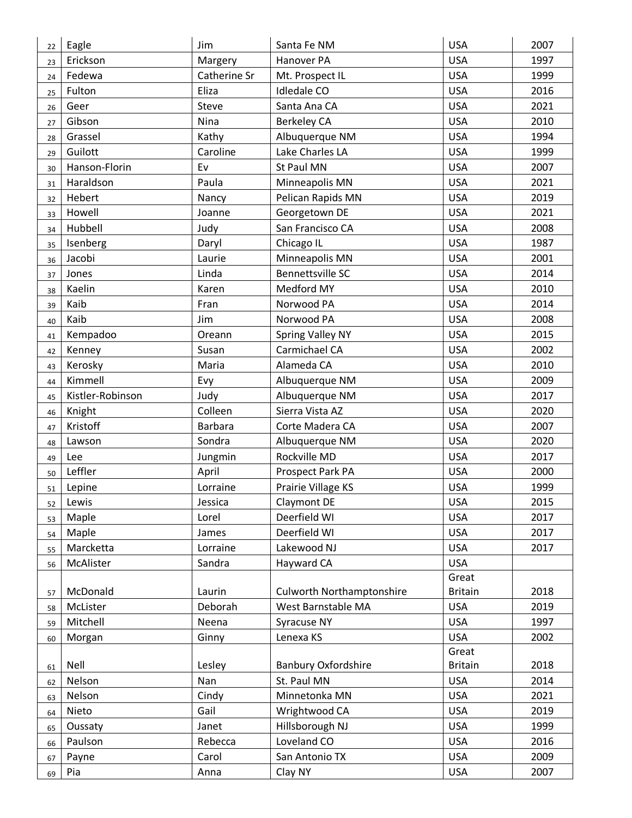| Jim<br>Eagle<br>Santa Fe NM<br>22                                 | <b>USA</b><br>2007     |
|-------------------------------------------------------------------|------------------------|
| <b>USA</b><br>Erickson<br>Margery<br>Hanover PA<br>23             | 1997                   |
| Fedewa<br>Catherine Sr<br><b>USA</b><br>Mt. Prospect IL<br>24     | 1999                   |
| Eliza<br><b>Idledale CO</b><br><b>USA</b><br>Fulton<br>25         | 2016                   |
| <b>USA</b><br>Geer<br>Steve<br>Santa Ana CA<br>26                 | 2021                   |
| Gibson<br>Nina<br><b>Berkeley CA</b><br><b>USA</b><br>27          | 2010                   |
| <b>USA</b><br>Grassel<br>Kathy<br>Albuquerque NM<br>28            | 1994                   |
| Guilott<br>Lake Charles LA<br><b>USA</b><br>Caroline<br>29        | 1999                   |
| <b>USA</b><br>Hanson-Florin<br>Ev<br>St Paul MN<br>30             | 2007                   |
| <b>USA</b><br>Haraldson<br>Paula<br>Minneapolis MN<br>31          | 2021                   |
| <b>USA</b><br>Hebert<br>Pelican Rapids MN<br>Nancy<br>32          | 2019                   |
| Howell<br>Georgetown DE<br><b>USA</b><br>Joanne<br>33             | 2021                   |
| <b>USA</b><br>Hubbell<br>Judy<br>San Francisco CA<br>34           | 2008                   |
| Chicago IL<br><b>USA</b><br>Isenberg<br>Daryl<br>35               | 1987                   |
| <b>USA</b><br>Jacobi<br>Laurie<br>Minneapolis MN<br>36            | 2001                   |
| Linda<br><b>Bennettsville SC</b><br><b>USA</b><br>Jones<br>37     | 2014                   |
| Kaelin<br>Medford MY<br><b>USA</b><br>Karen<br>38                 | 2010                   |
| Kaib<br><b>USA</b><br>Fran<br>Norwood PA<br>39                    | 2014                   |
| Norwood PA<br>Kaib<br>Jim<br><b>USA</b><br>40                     | 2008                   |
| <b>USA</b><br>Kempadoo<br><b>Spring Valley NY</b><br>Oreann<br>41 | 2015                   |
| Carmichael CA<br><b>USA</b><br>Susan<br>Kenney<br>42              | 2002                   |
| <b>USA</b><br>Kerosky<br>Maria<br>Alameda CA<br>43                | 2010                   |
| Kimmell<br><b>USA</b><br>Evy<br>Albuquerque NM<br>44              | 2009                   |
| Kistler-Robinson<br>Judy<br>Albuquerque NM<br><b>USA</b><br>45    | 2017                   |
| Colleen<br>Sierra Vista AZ<br><b>USA</b><br>Knight<br>46          | 2020                   |
| Kristoff<br><b>USA</b><br><b>Barbara</b><br>Corte Madera CA<br>47 | 2007                   |
| Sondra<br>Albuquerque NM<br><b>USA</b><br>Lawson<br>48            | 2020                   |
| Rockville MD<br><b>USA</b><br>Lee<br>Jungmin<br>49                | 2017                   |
| Leffler<br>April<br><b>USA</b><br>Prospect Park PA<br>50          | 2000                   |
| Prairie Village KS<br><b>USA</b><br>Lepine<br>Lorraine<br>51      | 1999                   |
| <b>USA</b><br>Lewis<br><b>Claymont DE</b><br>Jessica<br>52        | 2015                   |
| Deerfield WI<br><b>USA</b><br>Maple<br>Lorel<br>53                | 2017                   |
| <b>USA</b><br>Maple<br>Deerfield WI<br>James<br>54                | 2017                   |
| Marcketta<br>Lorraine<br>Lakewood NJ<br><b>USA</b><br>55          | 2017                   |
| Sandra<br><b>USA</b><br>McAlister<br>Hayward CA<br>56             |                        |
|                                                                   | Great                  |
| <b>Culworth Northamptonshire</b><br>McDonald<br>Laurin<br>57      | <b>Britain</b><br>2018 |
| West Barnstable MA<br><b>USA</b><br>McLister<br>Deborah<br>58     | 2019                   |
| Mitchell<br>Syracuse NY<br><b>USA</b><br>Neena<br>59              | 1997                   |
| Lenexa KS<br><b>USA</b><br>Ginny<br>Morgan<br>60                  | 2002<br>Great          |
| Nell<br>Lesley<br><b>Banbury Oxfordshire</b><br>61                | 2018<br><b>Britain</b> |
| St. Paul MN<br>Nelson<br>Nan<br><b>USA</b><br>62                  | 2014                   |
| Minnetonka MN<br><b>USA</b><br>Nelson<br>Cindy<br>63              | 2021                   |
| Gail<br>Wrightwood CA<br><b>USA</b><br>Nieto<br>64                | 2019                   |
| Hillsborough NJ<br><b>USA</b><br>Janet<br>Oussaty<br>65           | 1999                   |
| Loveland CO<br>Paulson<br>Rebecca<br><b>USA</b><br>66             | 2016                   |
| <b>USA</b><br>Carol<br>San Antonio TX<br>Payne<br>67              | 2009                   |
| Anna<br>Clay NY<br><b>USA</b><br>Pia<br>69                        | 2007                   |